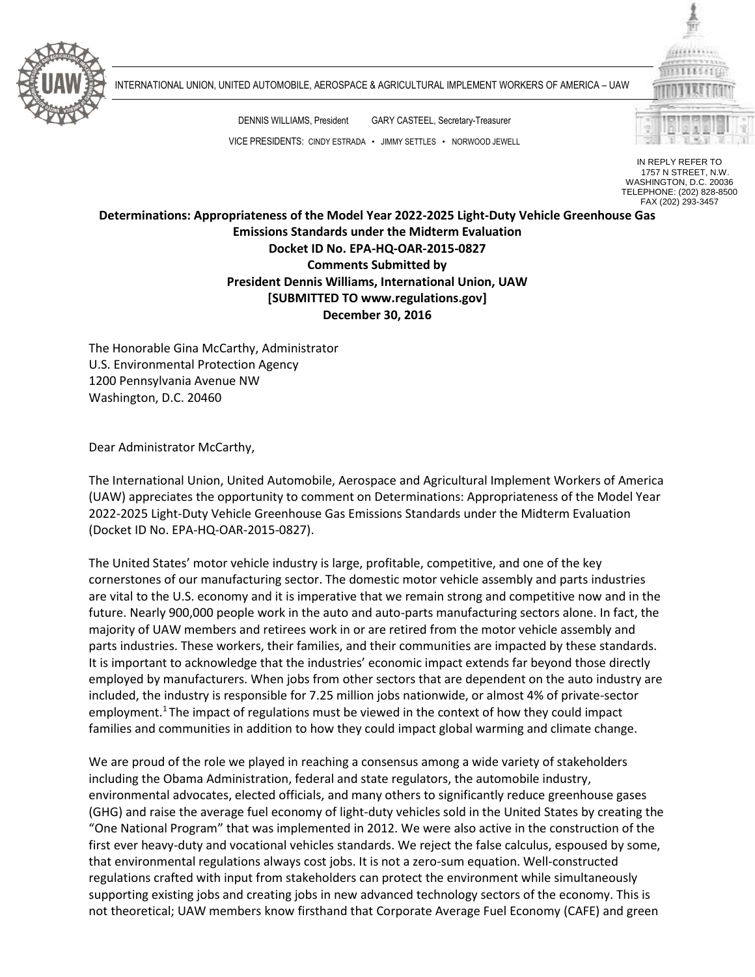

INTERNATIONAL UNION, UNITED AUTOMOBILE, AEROSPACE & AGRICULTURAL IMPLEMENT WORKERS OF AMERICA – UAW

DENNIS WILLIAMS, President GARY CASTEEL, Secretary-Treasurer VICE PRESIDENTS: CINDY ESTRADA • JIMMY SETTLES • NORWOOD JEWELL



IN REPLY REFER TO 1757 N STREET, N.W. WASHINGTON, D.C. 20036 TELEPHONE: (202) 828-8500 FAX (202) 293-3457

**Determinations: Appropriateness of the Model Year 2022-2025 Light-Duty Vehicle Greenhouse Gas Emissions Standards under the Midterm Evaluation Docket ID No. EPA-HQ-OAR-2015-0827 Comments Submitted by President Dennis Williams, International Union, UAW [SUBMITTED TO www.regulations.gov] December 30, 2016**

The Honorable Gina McCarthy, Administrator U.S. Environmental Protection Agency 1200 Pennsylvania Avenue NW Washington, D.C. 20460

Dear Administrator McCarthy,

The International Union, United Automobile, Aerospace and Agricultural Implement Workers of America (UAW) appreciates the opportunity to comment on Determinations: Appropriateness of the Model Year 2022-2025 Light-Duty Vehicle Greenhouse Gas Emissions Standards under the Midterm Evaluation (Docket ID No. EPA-HQ-OAR-2015-0827).

The United States' motor vehicle industry is large, profitable, competitive, and one of the key cornerstones of our manufacturing sector. The domestic motor vehicle assembly and parts industries are vital to the U.S. economy and it is imperative that we remain strong and competitive now and in the future. Nearly 900,000 people work in the auto and auto-parts manufacturing sectors alone. In fact, the majority of UAW members and retirees work in or are retired from the motor vehicle assembly and parts industries. These workers, their families, and their communities are impacted by these standards. It is important to acknowledge that the industries' economic impact extends far beyond those directly employed by manufacturers. When jobs from other sectors that are dependent on the auto industry are included, the industry is responsible for 7.25 million jobs nationwide, or almost 4% of private-sector employment.<sup>1</sup> The impact of regulations must be viewed in the context of how they could impact families and communities in addition to how they could impact global warming and climate change.

We are proud of the role we played in reaching a consensus among a wide variety of stakeholders including the Obama Administration, federal and state regulators, the automobile industry, environmental advocates, elected officials, and many others to significantly reduce greenhouse gases (GHG) and raise the average fuel economy of light-duty vehicles sold in the United States by creating the "One National Program" that was implemented in 2012. We were also active in the construction of the first ever heavy-duty and vocational vehicles standards. We reject the false calculus, espoused by some, that environmental regulations always cost jobs. It is not a zero-sum equation. Well-constructed regulations crafted with input from stakeholders can protect the environment while simultaneously supporting existing jobs and creating jobs in new advanced technology sectors of the economy. This is not theoretical; UAW members know firsthand that Corporate Average Fuel Economy (CAFE) and green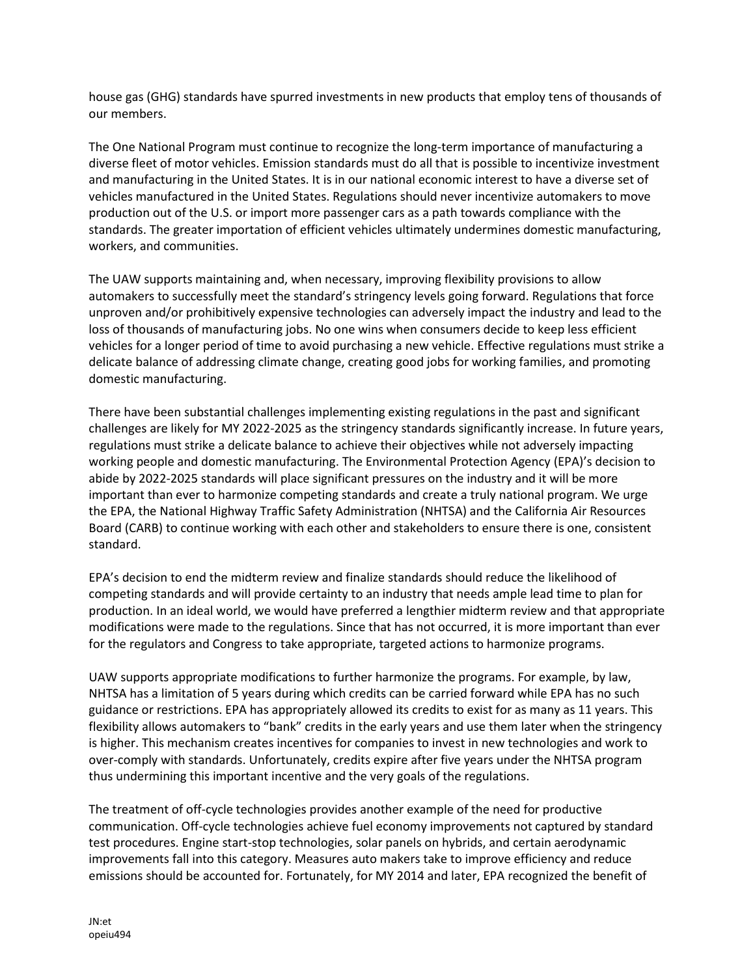house gas (GHG) standards have spurred investments in new products that employ tens of thousands of our members.

The One National Program must continue to recognize the long-term importance of manufacturing a diverse fleet of motor vehicles. Emission standards must do all that is possible to incentivize investment and manufacturing in the United States. It is in our national economic interest to have a diverse set of vehicles manufactured in the United States. Regulations should never incentivize automakers to move production out of the U.S. or import more passenger cars as a path towards compliance with the standards. The greater importation of efficient vehicles ultimately undermines domestic manufacturing, workers, and communities.

The UAW supports maintaining and, when necessary, improving flexibility provisions to allow automakers to successfully meet the standard's stringency levels going forward. Regulations that force unproven and/or prohibitively expensive technologies can adversely impact the industry and lead to the loss of thousands of manufacturing jobs. No one wins when consumers decide to keep less efficient vehicles for a longer period of time to avoid purchasing a new vehicle. Effective regulations must strike a delicate balance of addressing climate change, creating good jobs for working families, and promoting domestic manufacturing.

There have been substantial challenges implementing existing regulations in the past and significant challenges are likely for MY 2022-2025 as the stringency standards significantly increase. In future years, regulations must strike a delicate balance to achieve their objectives while not adversely impacting working people and domestic manufacturing. The Environmental Protection Agency (EPA)'s decision to abide by 2022-2025 standards will place significant pressures on the industry and it will be more important than ever to harmonize competing standards and create a truly national program. We urge the EPA, the National Highway Traffic Safety Administration (NHTSA) and the California Air Resources Board (CARB) to continue working with each other and stakeholders to ensure there is one, consistent standard.

EPA's decision to end the midterm review and finalize standards should reduce the likelihood of competing standards and will provide certainty to an industry that needs ample lead time to plan for production. In an ideal world, we would have preferred a lengthier midterm review and that appropriate modifications were made to the regulations. Since that has not occurred, it is more important than ever for the regulators and Congress to take appropriate, targeted actions to harmonize programs.

UAW supports appropriate modifications to further harmonize the programs. For example, by law, NHTSA has a limitation of 5 years during which credits can be carried forward while EPA has no such guidance or restrictions. EPA has appropriately allowed its credits to exist for as many as 11 years. This flexibility allows automakers to "bank" credits in the early years and use them later when the stringency is higher. This mechanism creates incentives for companies to invest in new technologies and work to over-comply with standards. Unfortunately, credits expire after five years under the NHTSA program thus undermining this important incentive and the very goals of the regulations.

The treatment of off-cycle technologies provides another example of the need for productive communication. Off-cycle technologies achieve fuel economy improvements not captured by standard test procedures. Engine start-stop technologies, solar panels on hybrids, and certain aerodynamic improvements fall into this category. Measures auto makers take to improve efficiency and reduce emissions should be accounted for. Fortunately, for MY 2014 and later, EPA recognized the benefit of